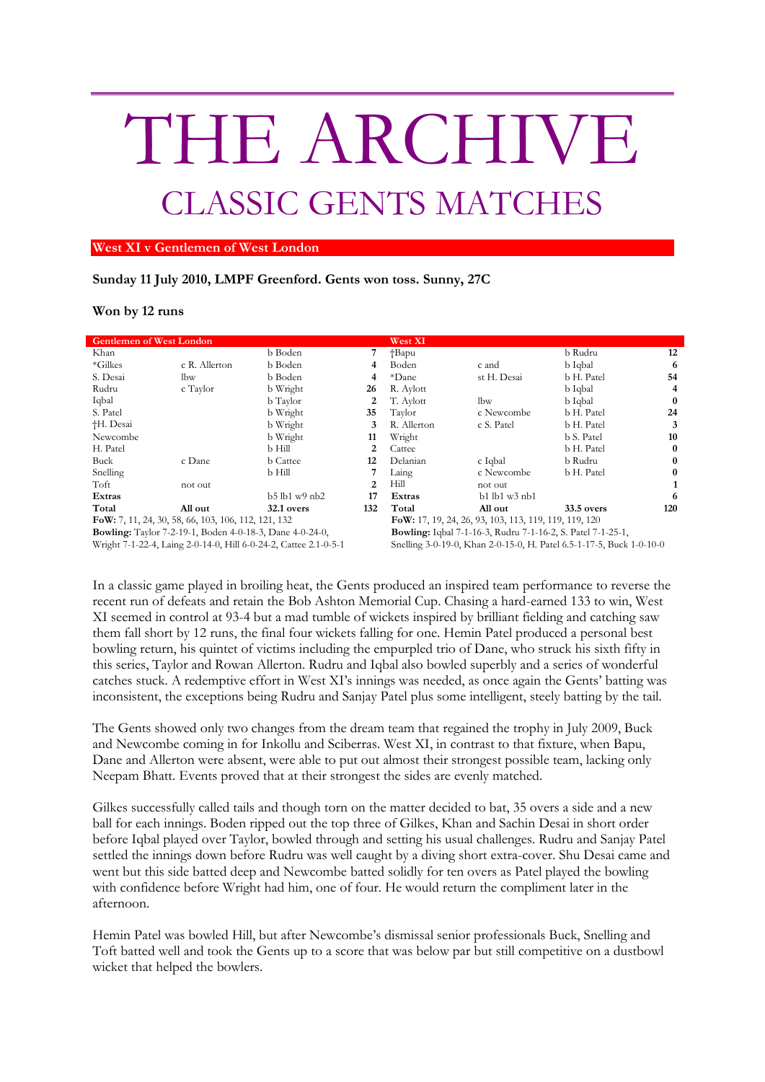## THE ARCHIVE CLASSIC GENTS MATCHES

## **West XI v Gentlemen of West London**

## **Sunday 11 July 2010, LMPF Greenford. Gents won toss. Sunny, 27C**

## **Won by 12 runs**

| <b>Gentlemen of West London</b>                                  |               |                       |                | West XI                                                              |                          |            |          |
|------------------------------------------------------------------|---------------|-----------------------|----------------|----------------------------------------------------------------------|--------------------------|------------|----------|
| Khan                                                             |               | b Boden               |                | †Bapu                                                                |                          | b Rudru    | 12       |
| *Gilkes                                                          | c R. Allerton | b Boden               |                | Boden                                                                | c and                    | b Iqbal    | 6        |
| S. Desai                                                         | lbw           | b Boden               | 4              | *Dane                                                                | st H. Desai              | b H. Patel | 54       |
| Rudru                                                            | c Taylor      | b Wright              | 26             | R. Aylott                                                            |                          | b Iqbal    | 4        |
| Iqbal                                                            |               | b Taylor              | 2              | T. Aylott                                                            | lbw                      | b Iqbal    | 0        |
| S. Patel                                                         |               | b Wright              | 35             | Taylor                                                               | c Newcombe               | b H. Patel | 24       |
| †H. Desai                                                        |               | b Wright              | 3              | R. Allerton                                                          | c S. Patel               | b H. Patel |          |
| Newcombe                                                         |               | b Wright              | 11             | Wright                                                               |                          | b S. Patel | 10       |
| H. Patel                                                         |               | b Hill                | 2              | Cattee                                                               |                          | b H. Patel | $\bf{0}$ |
| Buck                                                             | c Dane        | <b>b</b> Cattee       | 12             | Delanian                                                             | c Iqbal                  | b Rudru    | 0        |
| Snelling                                                         |               | b Hill                |                | Laing                                                                | c Newcombe               | b H. Patel |          |
| Toft                                                             | not out       |                       | $\mathfrak{D}$ | Hill                                                                 | not out                  |            |          |
| Extras                                                           |               | $b5$ $lb1$ $w9$ $nb2$ | 17             | Extras                                                               | $b1$ l $b1$ w $3$ n $b1$ |            | 6        |
| Total                                                            | All out       | 32.1 overs            | 132            | Total                                                                | All out                  | 33.5 overs | 120      |
| FoW: 7, 11, 24, 30, 58, 66, 103, 106, 112, 121, 132              |               |                       |                | FoW: 17, 19, 24, 26, 93, 103, 113, 119, 119, 119, 120                |                          |            |          |
| <b>Bowling:</b> Taylor 7-2-19-1, Boden 4-0-18-3, Dane 4-0-24-0,  |               |                       |                | <b>Bowling:</b> Iqbal 7-1-16-3, Rudru 7-1-16-2, S. Patel 7-1-25-1,   |                          |            |          |
| Wright 7-1-22-4, Laing 2-0-14-0, Hill 6-0-24-2, Cattee 2.1-0-5-1 |               |                       |                | Snelling 3-0-19-0, Khan 2-0-15-0, H. Patel 6.5-1-17-5, Buck 1-0-10-0 |                          |            |          |

In a classic game played in broiling heat, the Gents produced an inspired team performance to reverse the recent run of defeats and retain the Bob Ashton Memorial Cup. Chasing a hard-earned 133 to win, West XI seemed in control at 93-4 but a mad tumble of wickets inspired by brilliant fielding and catching saw them fall short by 12 runs, the final four wickets falling for one. Hemin Patel produced a personal best bowling return, his quintet of victims including the empurpled trio of Dane, who struck his sixth fifty in this series, Taylor and Rowan Allerton. Rudru and Iqbal also bowled superbly and a series of wonderful catches stuck. A redemptive effort in West XI's innings was needed, as once again the Gents' batting was inconsistent, the exceptions being Rudru and Sanjay Patel plus some intelligent, steely batting by the tail.

The Gents showed only two changes from the dream team that regained the trophy in July 2009, Buck and Newcombe coming in for Inkollu and Sciberras. West XI, in contrast to that fixture, when Bapu, Dane and Allerton were absent, were able to put out almost their strongest possible team, lacking only Neepam Bhatt. Events proved that at their strongest the sides are evenly matched.

Gilkes successfully called tails and though torn on the matter decided to bat, 35 overs a side and a new ball for each innings. Boden ripped out the top three of Gilkes, Khan and Sachin Desai in short order before Iqbal played over Taylor, bowled through and setting his usual challenges. Rudru and Sanjay Patel settled the innings down before Rudru was well caught by a diving short extra-cover. Shu Desai came and went but this side batted deep and Newcombe batted solidly for ten overs as Patel played the bowling with confidence before Wright had him, one of four. He would return the compliment later in the afternoon.

Hemin Patel was bowled Hill, but after Newcombe's dismissal senior professionals Buck, Snelling and Toft batted well and took the Gents up to a score that was below par but still competitive on a dustbowl wicket that helped the bowlers.